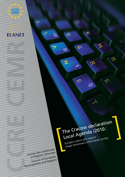

 $\pi$ 

**CCRE**<br>CEMR

The Cracow declaration Local Agenda i2010: Europe's towns and regions<br>shape tomorrow's information society

ຕ

 $\mathbf C$ 

 $\boldsymbol{\pi}$ 

 $\Omega$ 

 $\circ$ 

 $\mathbf{z}$ 

Ë

 $\overline{\mathbf{y}}$ 

⋒

လ

 $\mathcal{O}$ 

๙

Conseil des Communes et Régions d'Europe Council of European Municipalities and Regions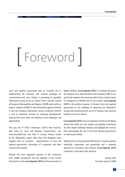# [ Foreword ]

Local and regional government play an essential role in implementing the European and national strategies for e-government and, more widely, in promoting an equitable information society for all our citizens. That is why the Council of European Municipalities and Regions (CEMR) works with our experts' network, ELANET, to take forward this agenda. And that is why the European Information Society Conference (EISCO) is such an important occasion for reviewing developments, learning from each other, and looking at new challenges and opportunities.

This year, the 5<sup>th</sup> EISCO conference («i2010: New horizons, New Tasks for Local and Regional Governments», see: www.eisco2005.org) was held in Cracow, Poland, hosted by the Malopolska region. More than 350 delegates came together from 23 countries - representatives of local and regional government, universities, ICT companies, and other e-government experts.

Perhaps the most important outcome of the conference from CEMR's perspective was the adoption of the Cracow Declaration on the **Local Agenda i2010** and the promotion of digital solidarity. **Local Agenda i2010** is a strategic document for European local administrations and innovators. With its ten goals that condense the necessary tasks for the coming 5 years, it is designed as a flexible tool for local action. Local Agenda **i2010** is the political response of Europe's local and regional government to the challenge of advancing the information society and ensuring that the use of ICT brings a real, practical benefit to all of our citizens.

**Local Agenda i2010** is also an important reaction to the digital divide both within our own regions and globally. It promotes the UN's Digital Solidarity Initiative and highlights the need to fully acknowledge the role of local and regional governments in reducing this divide.

Making full use of the potential offered by ICT requires political leadership, cooperation and partnership and a balanced approach to innovation and inclusion. **Local Agenda i2010** constitutes a vital step in this direction.

> Jeremy Smith Secretary General, CEMR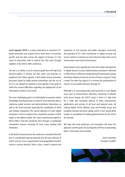**Local agenda i2010** is a policy intruments to transform ICTbased innovation and research into a main driver of economic growth and new jobs accross the regions of Europe. It is the result of discussions held in several fora that were brought together at the EISCO 2005 conference.

The aim is to define a set of common goals that will help local decision-makers in setting out their plans and priorities to implement the Lisbon agenda. It will enable strong innovation processes based on public-private partnerhips and the use of ICT. It is an attempt to establish a local agenda of ten goals to tackle the current difficulties regarding the deployment of the information society in local areas.

The most challenging goal is to build digital ecosystems where knowledge-sharing becomes an asset for local networks able to modernise public services and administrations themselves, as well as the local economy, especially the contribution of small and medium enterprises. The overall objective for each digital ecosystem is then to improve the competitive position of their region in the global market. The vision unanimously agreed in EISCO 2005 is that this should be done through a coordinated consultation process involving all local actors dealing with innovation.

In the field of eGovernment, the conference considered that the lack of coordinated regional planning and the poor delivery of online services across organisational and geographical borders remain a serious obstacle. There is also a need to improve the awareness of civil servants and public managers concerning the potential of ICT. Joint investments in digital security and service centres in common are now critical to reduce the cost of eGovernment and ensure inclusiveness.

eGovernment must urgently pass from the simple reproduction in digital format of actual administrative procedures delivered in office hours to effective reengineering that generates savings and allows delivery of services on-line 24 hours a day per 7 days a week. The other key aspect is to increase the participation of citizens in local public decisions through ICT.

Although it is encouraging that good practices in core digital areas such as eGovernment, eBusiness, eLearning or eHealth exist across Europe, the EISCO vision is that it is high time for a wide and consistent take-up of these eGovernment applications and services in all local and regional areas. By making digital service delivery easy, user-friendly, secure and complete, demand will grow rapidly, which in turn would allow Europe to consolidate its leading global position by the end of this decade.

We hope that local politicians and innovators will share the approach and the goals of Local Agenda i2010 by incorporating them in their plans and activities.

> Javier Ossandon President, ELANET

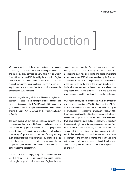## | Introduction |

We, representatives of local and regional governments, universities, ICT companies and experts working in eGovernment and in digital local services delivery, have met in Cracow (Poland) from 2-4 June 2005, hosted by the Malopolska Region, to discuss the new scenario and tasks that European local and regional governments must implement to make a significant step forward in the Information Society and to address the challenges of i2010 (eEurope).

We have analysed the digital divide within our own regions and between developed and less-developed countries and discussed the solidarity agenda of the II World Summit of Cities and Local governments that will take place in November 2005 in Bilbao, prior to the United Nations Summit on the Information Society in Tunisia.

The main concern of our local and regional governments is how to ensure that the use of information and communication technologies brings practical benefits to all the people living in our territories. Economic growth without social inclusion does not signify prosperity for all sectors of society and may even radically increase social differences by creating a digital divide. Inclusiveness and cooperation is what makes Europe unique and significantly different from other areas in the world competing in the global market.

It is clear to us that Europe, except for some countries, still lags behind in the use of information and communication technologies at public and private level. Regions, in other countries, not only from the USA and Japan, have made rapid and significant advances into the digital economy arena that are changing their way to compete and attract investment. In this context, the i2010 initiative launched by the European Commission, to reduce the competitive gap and consolidate a leading position by the end of the present decade, is most timely. It is a goal for everyone that requires a special and close co-operation between the different levels of the public and private sectors to meet this strategic challenge for our future.

It will not be an easy task to increase in 5 years the investment in research and innovation to 3% of the European Union GDP, as this is almost double the current rate. Neither will it be easy for the private sector to increase their investment by at least 30%. If such investment is achieved the impact on our territories will be enormous. To get the maximum return from such investment it will be an absolute priority to find the best ways to transform first results quickly into specific new products and services. From our local and regional perspective, this European effort will succeed only if it results in empowering European citizenship and further developing our local economies, to enhance the identity of the different territories and in strengthening political and social cohesion in our continent. It will require careful planning and accountable policies at local, regional and national level.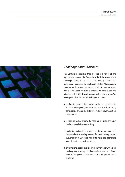> Challenges and Principles



### *Challenges and Principles*

The Conference considers that the first task for local and regional governments in Europe is to be fully aware of the challenges facing them and to take strong political and operational measures to implement i2010. Municipalities, counties, provinces and regions can do a lot to create the best possible conditions for such a process. We believe that the adoption of the **i2010 local agenda** is the way forward. We have agreed that the **i2010 local agenda** should:

- a) reaffirm the subsidiarity principle as the main guideline to implement the agenda, as well as the need to reinforce strong partnerships among the different levels of government for this purpose;
- b) indicate as a clear priority the need for specific planning of the local agenda in every territory;
- c) emphasise networked services at local, national and European level as the key element for rapid development of eGovernment in Europe as well as to make local economies more dynamic and create new jobs;
- d) promote long-lasting public-private partnerships with a clear roadmap and a strong coordination between the different levels of the public administrations that are present in the territories;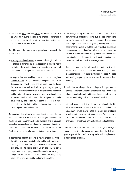e) describe the tasks and the targets to be reached by 2010, as well as relevant indicators to measure performance and impact, that take fully into account the identities and peculiarities of each local area.

To this end, the Conference participants stressed the importance of:

- a) ensuring broadband access, whatever technological solution is chosen, in all territorial areas, especially in schools, health institutions, local and regional government premises as well as in public spaces open to citizens and enterprises;
- b) strengthening the enabling role of local and regional administrations in guaranteeing adequate and secure technological infrastructure and in promoting ICT-based inclusive services and applications, by actively supporting regional clusters for innovation in our territory to modernise public administrations, generate new investment, and stimulate local development. The cooperation model developed by the PRELUDE initiative has been a most successful exercise in the said direction and its replication in other regions could be beneficial.

An urgent problem is how to overcome the actual trend in Europe where best practices in core digital areas (e.g. eGovernment, eBusiness and eCommerce, eHealth, eSecurity and eTransport) exist almost everywhere but where the implementation of their results or its replication by other actors remains weak. The Conference raised the following preliminary conclusions:

a) coordinated regional planning is insufficient and the roles of the different actors, especially in the public sector, not always properly established through a consultation process. The aim should be to deliver joined-up on-line services across organisational and geographical borders based on a good integration of the back and front office and long-lasting partnerships involving public and private operators.

- b) the reengineering of the administrations and of the administrative procedures using ICT is also insufficient, except for some specific regions and countries. The tendency just to reproduce what is already being done by physical and paper means prevails, with little real innovation or systems reengineering and therefore minimal added value for citizens. Creating incentives that produce real savings and that stimulate people interacting with public administrations to use electronic services is a most urgent task.
- c) there is a consistent lack of knowledge and experience in the use of ICT by civil servants and public managers. There is an urgent need for younger staff who have good ICT skills and training to participate more in decisions on what is to be done;
- d) combining fast changes in technology with organisational change and content updating of databases has proven to be a hard task not sufficiently addressed through good feasibility studies, monitoring tools and cost-benefit analysis;
- e) although some good first results are now being obtained to allow more secure transactions in the net and to authenticate users, short-term policies to protect the private data of citizens in public databases are not always there. This is surely a strong decision-making barrier for public managers to allow interoperability between different systems and databases.

To tackle these difficulties and the challenges lying ahead, the conference participants agreed on suggesting the following goals as part of the **i2010 Local Agenda**, to be implemented in all European countries.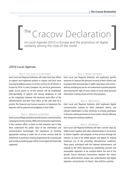### The Cracow Declaration The Cracow Declaration<br>
on Local Agenda i2010 in Europe and the promotion of digital<br>
solidarity among the cities of the world

### *i2010 Local Agenda*

### **GOAL 1 - FULL ACCESS TO ON-LINE SERVICES**

Each Local and Regional Authority will make their best efforts to support and implement policies in regions and local areas ensuring broadband access to on-line services for all citizens in Europe by 2010. In every European city and local government, public access points to on-line services will be established. Inter-operability of systems and among databases as well as the integration between the electronic back-office of the administrations and their front office on the web shall be a priority. The financial and human resources to implement this objective will be planned and budgeted as from 2006.

### **GOAL 2 - AWARENESS AND INCLUSION**

Each Local and Regional Authority shall mount a communications campaign to involve citizens, SMEs and community organisations in this common effort, to listen to their demands and to help them understand the public value of the information and communication technologies. The importance of receiving appropriate training to make use of on-line services shall be underlined. In particular, training programmes for economically and socially excluded groups will be encouraged and financially supported.

### **GOAL 3 - SECURITY AND PRIVACY**

Each Local and Regional Authority will implement specific measures to improve the personal security of their citizens and to protect their personal data in public data bases and service delivery avoiding any use for non authorised or private purposes and ensuring the right of every citizen to know what personal information is being stored and for what purposes.

### **GOAL 4 - EPARTICIPATION**

Each Local and Regional Authority shall implement digital communication systems to allow individual citizens and relevant stakeholders in their territories to actively participate in decision-making processes on local matters directly affecting their living and working conditions.

### **GOAL 5 - EGOVERNMENT**

Each Local and Regional Authority will take concrete steps by 2006 to work together with other administrations in its territory to deliver together and integrate on-line services through the Internet, as well as by mobile phones and digital TV, making maximum use of the prevailing infrastructural conditions. These plans, articulated with the national eGovernment, will respond to the i2010 objectives by establishing concrete and measurable objectives to be reached before the end of the decade. Secure electronic transactions between the citizen and the administration, proper user authentication and digital signature, and protection of citizens' data shall be a priority.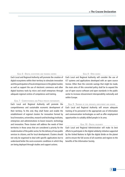

### **GOAL 6 - DIGITAL ECOSYSTEMS AND TRAINING CENTRES**

Each Local and Regional Authority will promote the creation of digital ecosystems within their territory to stimulate innovation and the participation of local entrepreneurs in the global market, as well as support the use of electronic commerce and other digital business tools by micro and small enterprises through adequate regional centres of competence and training.

### **GOAL 7 - COMPETITIVENESS AND PUBLIC-PRIVATE PARTNERSHIPS**

Each Local and Regional Authority will promote the competitiveness and sustainable economic development of their territory. To this end, they shall foster and enable the establishment of regional clusters for innovation formed by local innovators, universities, research and technology institutes, enterprises and administrations to boost research, technology and innovation. These clusters will address the needs of their territories in those areas that are considered a priority for the modernisation of the public sector, for the delivery of new public services to citizens, and for local development. Clusters should not only be organised to deal with specific applications but to understand better the socio-economic conditions in which they are being deployed through studies and support actions.

### **GOAL 8 - OPEN SOURCE**

Each Local and Regional Authority will consider the use of ICT systems and applications developed with an open source license. Other than the concrete savings that might be made, the main aims of this concerted policy shall be to expand the use of open source software and open standards in the public sector to increase eGovernment interoperability nationally and within Europe.

### **GOAL 9 - TRAINING OF CIVIL SERVANTS, EMPLOYMENT AND GENDER**

Each Local and Regional Authority will ensure adequate training of its personnel in the appropriate use of information and communication technologies as well as offer employment opportunities to suitably skilled people in its area.

### **GOAL 10 - DIGITAL SOLIDARITY**

Each Local and Regional Administration will make its best efforts to participate in the digital solidarity initiative supported by the United Nations to fight the digital divide on the planet and to ensure the full access of all countries and regions to the benefits of the Information Society.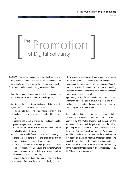> Foreword

### The Promotion of Digital Solidarity The **Promotion**

The EISCO 2005 conference warmly acknowledged the objectives of the II World Summit of Cities and Local governments on the Information Society presented by the Regional government of Bilbao and formulated the following recommendations:

- a) that the summit discusses and adopt the principles and action lines expressed in our **i2010 Local Agenda**;
- b) that the emphasis is put on establishing a digital solidarity agenda with concrete initiatives, such as:
	- ensuring multi-channelling (web, mobile, digital TV) and broadband access in every local community within the next 15 years;
	- promoting free access to internet through kiosks in public spaces managed by administrations;
	- creating a world directory with the electronic mail addresses of all public administrations;
	- developing ICT and information society training and good practice exchange centres in regional areas for staff of the public administrations from different countries;
	- discussing a world-wide exchange programme between Local governments involving young civil servants working for administrations in digital delivery to citizens, both from the technological and content side;
	- discussing forms of digital tutoring of cities and local governments from less developed countries by cities and

local governments with consolidated experience in the use of the information and communication technologies;

- discussing the wider support of the European Union to worldwide thematic networks of local experts working together on common problems such as pollution, transport, drug-abuse, elderly, gender etc.
- promoting the use of ICT for new forms of citizen to citizen exchange and dialogue in favour of people and transcultural understanding, drawing on the experience of twinning and sister cities actions.
- c) that the global digital solidarity fund and the world digital solidarity agency created in the context of the roadmap approved by the United Nation's first summit on the Information Society, and in preparation of the Bilbao gathering, be implemented with full acknowledgment of the role of Cities and Local governments. We recommend an initial commitment of two years to the administrations that decide to join it, an intensive awareness campaign to launch the initiative and the creation of information and assessment instruments to ensure constant accountability on the investment that is made of the resources provided by the Cities and Local governments.